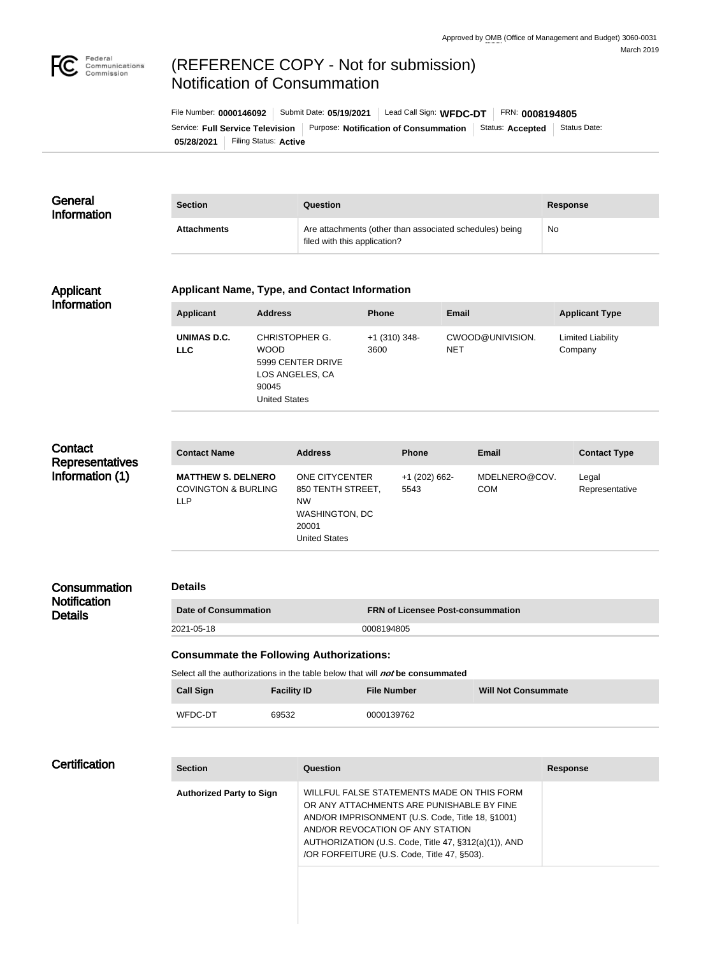

# (REFERENCE COPY - Not for submission) Notification of Consummation

| File Number: 0000146092 |                       | Submit Date: 05/19/2021                                                  | Lead Call Sign: WFDC-DT |  | FRN: 0008194805         |              |  |
|-------------------------|-----------------------|--------------------------------------------------------------------------|-------------------------|--|-------------------------|--------------|--|
|                         |                       | Service: Full Service Television   Purpose: Notification of Consummation |                         |  | Status: <b>Accepted</b> | Status Date: |  |
| 05/28/2021              | Filing Status: Active |                                                                          |                         |  |                         |              |  |

| General<br><b>Information</b> | <b>Section</b>     | Question                                                                                | Response  |
|-------------------------------|--------------------|-----------------------------------------------------------------------------------------|-----------|
|                               | <b>Attachments</b> | Are attachments (other than associated schedules) being<br>filed with this application? | <b>No</b> |

#### Applicant Information

#### **Applicant Name, Type, and Contact Information**

| Applicant                 | <b>Address</b>                                                                                         | <b>Phone</b>            | Email                          | <b>Applicant Type</b>               |
|---------------------------|--------------------------------------------------------------------------------------------------------|-------------------------|--------------------------------|-------------------------------------|
| UNIMAS D.C.<br><b>LLC</b> | CHRISTOPHER G.<br><b>WOOD</b><br>5999 CENTER DRIVE<br>LOS ANGELES, CA<br>90045<br><b>United States</b> | $+1$ (310) 348-<br>3600 | CWOOD@UNIVISION.<br><b>NET</b> | <b>Limited Liability</b><br>Company |

| Contact<br><b>Representatives</b> | <b>Contact Name</b>                                                       | <b>Address</b>                                                                                             | <b>Phone</b>            | Email                       | <b>Contact Type</b>     |
|-----------------------------------|---------------------------------------------------------------------------|------------------------------------------------------------------------------------------------------------|-------------------------|-----------------------------|-------------------------|
| Information (1)                   | <b>MATTHEW S. DELNERO</b><br><b>COVINGTON &amp; BURLING</b><br><b>LLP</b> | ONE CITYCENTER<br>850 TENTH STREET,<br><b>NW</b><br><b>WASHINGTON, DC</b><br>20001<br><b>United States</b> | $+1$ (202) 662-<br>5543 | MDELNERO@COV.<br><b>COM</b> | Legal<br>Representative |

## **Consummation Notification Details**

## **Details**

**Date of Consummation FRN of Licensee Post-consummation** 2021-05-18 0008194805

# **Consummate the Following Authorizations:**

Select all the authorizations in the table below that will **not** be consummated

| <b>Call Sign</b> | <b>Facility ID</b> | <b>File Number</b> | <b>Will Not Consummate</b> |
|------------------|--------------------|--------------------|----------------------------|
| WFDC-DT          | 69532              | 0000139762         |                            |

## **Certification**

| <b>Section</b>                  | Question                                                                                                                                                                                                                                                                               | <b>Response</b> |
|---------------------------------|----------------------------------------------------------------------------------------------------------------------------------------------------------------------------------------------------------------------------------------------------------------------------------------|-----------------|
| <b>Authorized Party to Sign</b> | WILLFUL FALSE STATEMENTS MADE ON THIS FORM<br>OR ANY ATTACHMENTS ARE PUNISHABLE BY FINE<br>AND/OR IMPRISONMENT (U.S. Code, Title 18, §1001)<br>AND/OR REVOCATION OF ANY STATION<br>AUTHORIZATION (U.S. Code, Title 47, §312(a)(1)), AND<br>/OR FORFEITURE (U.S. Code, Title 47, §503). |                 |
|                                 |                                                                                                                                                                                                                                                                                        |                 |